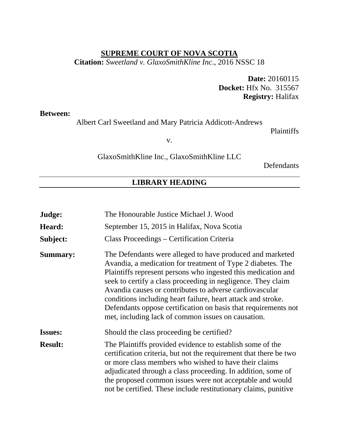#### **SUPREME COURT OF NOVA SCOTIA**

**Citation:** *Sweetland v. GlaxoSmithKline Inc.*, 2016 NSSC 18

**Date:** 20160115 **Docket:** Hfx No. 315567 **Registry:** Halifax

**Between:**

Albert Carl Sweetland and Mary Patricia Addicott-Andrews

Plaintiffs

v.

GlaxoSmithKline Inc., GlaxoSmithKline LLC

Defendants

#### **LIBRARY HEADING**

| Judge:          | The Honourable Justice Michael J. Wood                                                                                                                                                                                                                                                                                                                                                                                                                                                                       |
|-----------------|--------------------------------------------------------------------------------------------------------------------------------------------------------------------------------------------------------------------------------------------------------------------------------------------------------------------------------------------------------------------------------------------------------------------------------------------------------------------------------------------------------------|
| Heard:          | September 15, 2015 in Halifax, Nova Scotia                                                                                                                                                                                                                                                                                                                                                                                                                                                                   |
| Subject:        | Class Proceedings – Certification Criteria                                                                                                                                                                                                                                                                                                                                                                                                                                                                   |
| <b>Summary:</b> | The Defendants were alleged to have produced and marketed<br>Avandia, a medication for treatment of Type 2 diabetes. The<br>Plaintiffs represent persons who ingested this medication and<br>seek to certify a class proceeding in negligence. They claim<br>Avandia causes or contributes to adverse cardiovascular<br>conditions including heart failure, heart attack and stroke.<br>Defendants oppose certification on basis that requirements not<br>met, including lack of common issues on causation. |
| <b>Issues:</b>  | Should the class proceeding be certified?                                                                                                                                                                                                                                                                                                                                                                                                                                                                    |
| <b>Result:</b>  | The Plaintiffs provided evidence to establish some of the<br>certification criteria, but not the requirement that there be two<br>or more class members who wished to have their claims<br>adjudicated through a class proceeding. In addition, some of<br>the proposed common issues were not acceptable and would<br>not be certified. These include restitutionary claims, punitive                                                                                                                       |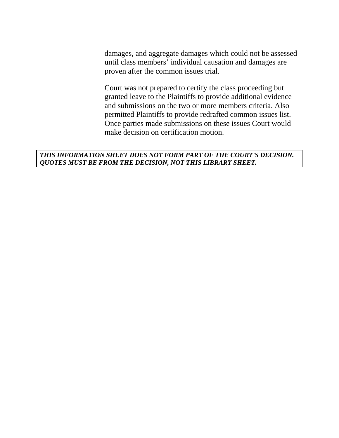damages, and aggregate damages which could not be assessed until class members' individual causation and damages are proven after the common issues trial.

Court was not prepared to certify the class proceeding but granted leave to the Plaintiffs to provide additional evidence and submissions on the two or more members criteria. Also permitted Plaintiffs to provide redrafted common issues list. Once parties made submissions on these issues Court would make decision on certification motion.

#### *THIS INFORMATION SHEET DOES NOT FORM PART OF THE COURT'S DECISION. QUOTES MUST BE FROM THE DECISION, NOT THIS LIBRARY SHEET.*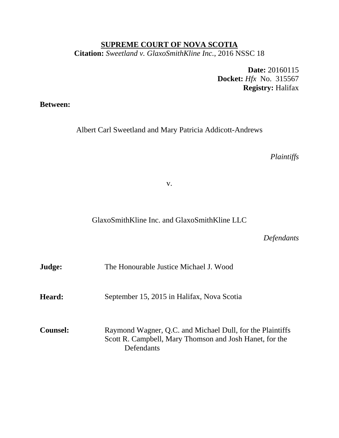## **SUPREME COURT OF NOVA SCOTIA Citation:** *Sweetland v. GlaxoSmithKline Inc.*, 2016 NSSC 18

**Date:** 20160115 **Docket:** *Hfx* No. 315567 **Registry:** Halifax

**Between:** 

Albert Carl Sweetland and Mary Patricia Addicott-Andrews

*Plaintiffs* 

v.

GlaxoSmithKline Inc. and GlaxoSmithKline LLC

*Defendants*

| Judge:          | The Honourable Justice Michael J. Wood                                                                                             |
|-----------------|------------------------------------------------------------------------------------------------------------------------------------|
| <b>Heard:</b>   | September 15, 2015 in Halifax, Nova Scotia                                                                                         |
| <b>Counsel:</b> | Raymond Wagner, Q.C. and Michael Dull, for the Plaintiffs<br>Scott R. Campbell, Mary Thomson and Josh Hanet, for the<br>Defendants |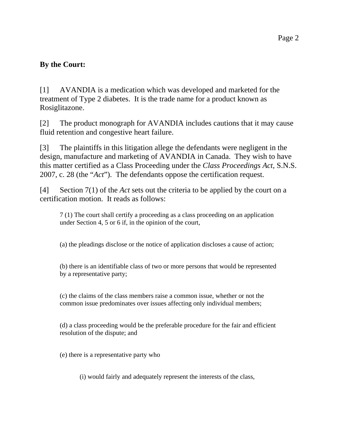## **By the Court:**

[1] AVANDIA is a medication which was developed and marketed for the treatment of Type 2 diabetes. It is the trade name for a product known as Rosiglitazone.

[2] The product monograph for AVANDIA includes cautions that it may cause fluid retention and congestive heart failure.

[3] The plaintiffs in this litigation allege the defendants were negligent in the design, manufacture and marketing of AVANDIA in Canada. They wish to have this matter certified as a Class Proceeding under the *Class Proceedings Act*, S.N.S. 2007, c. 28 (the "*Act*"). The defendants oppose the certification request.

[4] Section 7(1) of the *Act* sets out the criteria to be applied by the court on a certification motion. It reads as follows:

7 (1) The court shall certify a proceeding as a class proceeding on an application under Section 4, 5 or 6 if, in the opinion of the court,

(a) the pleadings disclose or the notice of application discloses a cause of action;

(b) there is an identifiable class of two or more persons that would be represented by a representative party;

(c) the claims of the class members raise a common issue, whether or not the common issue predominates over issues affecting only individual members;

(d) a class proceeding would be the preferable procedure for the fair and efficient resolution of the dispute; and

(e) there is a representative party who

(i) would fairly and adequately represent the interests of the class,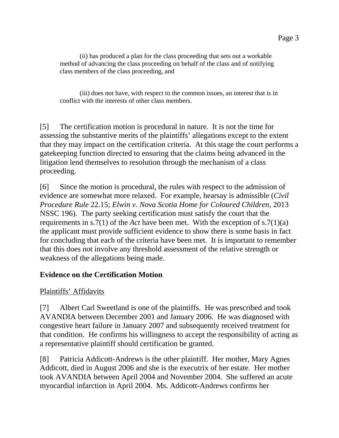(ii) has produced a plan for the class proceeding that sets out a workable method of advancing the class proceeding on behalf of the class and of notifying class members of the class proceeding, and

 (iii) does not have, with respect to the common issues, an interest that is in conflict with the interests of other class members.

[5] The certification motion is procedural in nature. It is not the time for assessing the substantive merits of the plaintiffs' allegations except to the extent that they may impact on the certification criteria. At this stage the court performs a gatekeeping function directed to ensuring that the claims being advanced in the litigation lend themselves to resolution through the mechanism of a class proceeding.

[6] Since the motion is procedural, the rules with respect to the admission of evidence are somewhat more relaxed. For example, hearsay is admissible (*Civil Procedure Rule* 22.15; *Elwin v. Nova Scotia Home for Coloured Children*, 2013 NSSC 196). The party seeking certification must satisfy the court that the requirements in s.7(1) of the *Act* have been met. With the exception of s.7(1)(a) the applicant must provide sufficient evidence to show there is some basis in fact for concluding that each of the criteria have been met. It is important to remember that this does not involve any threshold assessment of the relative strength or weakness of the allegations being made.

# **Evidence on the Certification Motion**

# Plaintiffs' Affidavits

[7] Albert Carl Sweetland is one of the plaintiffs. He was prescribed and took AVANDIA between December 2001 and January 2006. He was diagnosed with congestive heart failure in January 2007 and subsequently received treatment for that condition. He confirms his willingness to accept the responsibility of acting as a representative plaintiff should certification be granted.

[8] Patricia Addicott-Andrews is the other plaintiff. Her mother, Mary Agnes Addicott, died in August 2006 and she is the executrix of her estate. Her mother took AVANDIA between April 2004 and November 2004. She suffered an acute myocardial infarction in April 2004. Ms. Addicott-Andrews confirms her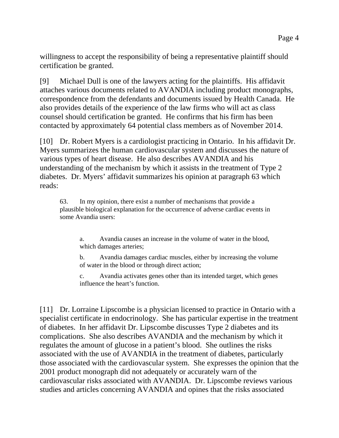willingness to accept the responsibility of being a representative plaintiff should certification be granted.

[9] Michael Dull is one of the lawyers acting for the plaintiffs. His affidavit attaches various documents related to AVANDIA including product monographs, correspondence from the defendants and documents issued by Health Canada. He also provides details of the experience of the law firms who will act as class counsel should certification be granted. He confirms that his firm has been contacted by approximately 64 potential class members as of November 2014.

[10] Dr. Robert Myers is a cardiologist practicing in Ontario. In his affidavit Dr. Myers summarizes the human cardiovascular system and discusses the nature of various types of heart disease. He also describes AVANDIA and his understanding of the mechanism by which it assists in the treatment of Type 2 diabetes. Dr. Myers' affidavit summarizes his opinion at paragraph 63 which reads:

63. In my opinion, there exist a number of mechanisms that provide a plausible biological explanation for the occurrence of adverse cardiac events in some Avandia users:

a. Avandia causes an increase in the volume of water in the blood, which damages arteries;

b. Avandia damages cardiac muscles, either by increasing the volume of water in the blood or through direct action;

c. Avandia activates genes other than its intended target, which genes influence the heart's function.

[11] Dr. Lorraine Lipscombe is a physician licensed to practice in Ontario with a specialist certificate in endocrinology. She has particular expertise in the treatment of diabetes. In her affidavit Dr. Lipscombe discusses Type 2 diabetes and its complications. She also describes AVANDIA and the mechanism by which it regulates the amount of glucose in a patient's blood. She outlines the risks associated with the use of AVANDIA in the treatment of diabetes, particularly those associated with the cardiovascular system. She expresses the opinion that the 2001 product monograph did not adequately or accurately warn of the cardiovascular risks associated with AVANDIA. Dr. Lipscombe reviews various studies and articles concerning AVANDIA and opines that the risks associated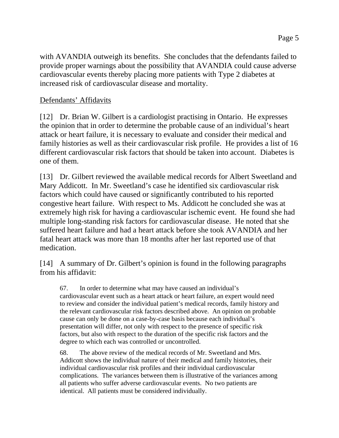with AVANDIA outweigh its benefits. She concludes that the defendants failed to provide proper warnings about the possibility that AVANDIA could cause adverse cardiovascular events thereby placing more patients with Type 2 diabetes at increased risk of cardiovascular disease and mortality.

#### Defendants' Affidavits

[12] Dr. Brian W. Gilbert is a cardiologist practising in Ontario. He expresses the opinion that in order to determine the probable cause of an individual's heart attack or heart failure, it is necessary to evaluate and consider their medical and family histories as well as their cardiovascular risk profile. He provides a list of 16 different cardiovascular risk factors that should be taken into account. Diabetes is one of them.

[13] Dr. Gilbert reviewed the available medical records for Albert Sweetland and Mary Addicott. In Mr. Sweetland's case he identified six cardiovascular risk factors which could have caused or significantly contributed to his reported congestive heart failure. With respect to Ms. Addicott he concluded she was at extremely high risk for having a cardiovascular ischemic event. He found she had multiple long-standing risk factors for cardiovascular disease. He noted that she suffered heart failure and had a heart attack before she took AVANDIA and her fatal heart attack was more than 18 months after her last reported use of that medication.

[14] A summary of Dr. Gilbert's opinion is found in the following paragraphs from his affidavit:

67. In order to determine what may have caused an individual's cardiovascular event such as a heart attack or heart failure, an expert would need to review and consider the individual patient's medical records, family history and the relevant cardiovascular risk factors described above. An opinion on probable cause can only be done on a case-by-case basis because each individual's presentation will differ, not only with respect to the presence of specific risk factors, but also with respect to the duration of the specific risk factors and the degree to which each was controlled or uncontrolled.

68. The above review of the medical records of Mr. Sweetland and Mrs. Addicott shows the individual nature of their medical and family histories, their individual cardiovascular risk profiles and their individual cardiovascular complications. The variances between them is illustrative of the variances among all patients who suffer adverse cardiovascular events. No two patients are identical. All patients must be considered individually.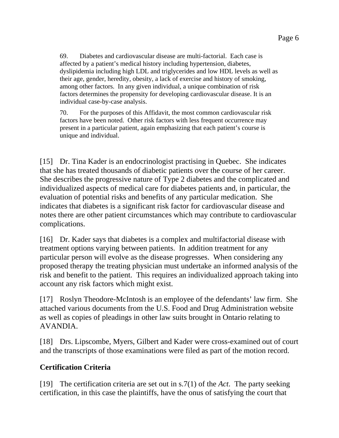69. Diabetes and cardiovascular disease are multi-factorial. Each case is affected by a patient's medical history including hypertension, diabetes, dyslipidemia including high LDL and triglycerides and low HDL levels as well as their age, gender, heredity, obesity, a lack of exercise and history of smoking, among other factors. In any given individual, a unique combination of risk factors determines the propensity for developing cardiovascular disease. It is an individual case-by-case analysis.

70. For the purposes of this Affidavit, the most common cardiovascular risk factors have been noted. Other risk factors with less frequent occurrence may present in a particular patient, again emphasizing that each patient's course is unique and individual.

[15] Dr. Tina Kader is an endocrinologist practising in Quebec. She indicates that she has treated thousands of diabetic patients over the course of her career. She describes the progressive nature of Type 2 diabetes and the complicated and individualized aspects of medical care for diabetes patients and, in particular, the evaluation of potential risks and benefits of any particular medication. She indicates that diabetes is a significant risk factor for cardiovascular disease and notes there are other patient circumstances which may contribute to cardiovascular complications.

[16] Dr. Kader says that diabetes is a complex and multifactorial disease with treatment options varying between patients. In addition treatment for any particular person will evolve as the disease progresses. When considering any proposed therapy the treating physician must undertake an informed analysis of the risk and benefit to the patient. This requires an individualized approach taking into account any risk factors which might exist.

[17] Roslyn Theodore-McIntosh is an employee of the defendants' law firm. She attached various documents from the U.S. Food and Drug Administration website as well as copies of pleadings in other law suits brought in Ontario relating to AVANDIA.

[18] Drs. Lipscombe, Myers, Gilbert and Kader were cross-examined out of court and the transcripts of those examinations were filed as part of the motion record.

## **Certification Criteria**

[19] The certification criteria are set out in s.7(1) of the *Act*. The party seeking certification, in this case the plaintiffs, have the onus of satisfying the court that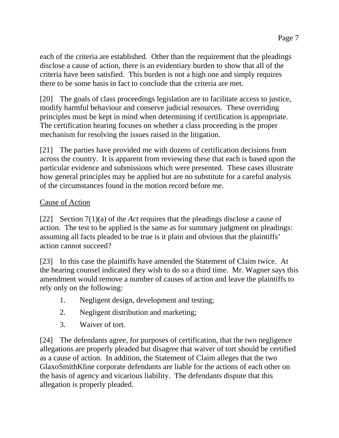each of the criteria are established. Other than the requirement that the pleadings disclose a cause of action, there is an evidentiary burden to show that all of the criteria have been satisfied. This burden is not a high one and simply requires there to be some basis in fact to conclude that the criteria are met.

[20] The goals of class proceedings legislation are to facilitate access to justice, modify harmful behaviour and conserve judicial resources. These overriding principles must be kept in mind when determining if certification is appropriate. The certification hearing focuses on whether a class proceeding is the proper mechanism for resolving the issues raised in the litigation.

[21] The parties have provided me with dozens of certification decisions from across the country. It is apparent from reviewing these that each is based upon the particular evidence and submissions which were presented. These cases illustrate how general principles may be applied but are no substitute for a careful analysis of the circumstances found in the motion record before me.

## Cause of Action

[22] Section 7(1)(a) of the *Act* requires that the pleadings disclose a cause of action. The test to be applied is the same as for summary judgment on pleadings: assuming all facts pleaded to be true is it plain and obvious that the plaintiffs' action cannot succeed?

[23] In this case the plaintiffs have amended the Statement of Claim twice. At the hearing counsel indicated they wish to do so a third time. Mr. Wagner says this amendment would remove a number of causes of action and leave the plaintiffs to rely only on the following:

- 1. Negligent design, development and testing;
- 2. Negligent distribution and marketing;
- 3. Waiver of tort.

[24] The defendants agree, for purposes of certification, that the two negligence allegations are properly pleaded but disagree that waiver of tort should be certified as a cause of action. In addition, the Statement of Claim alleges that the two GlaxoSmithKline corporate defendants are liable for the actions of each other on the basis of agency and vicarious liability. The defendants dispute that this allegation is properly pleaded.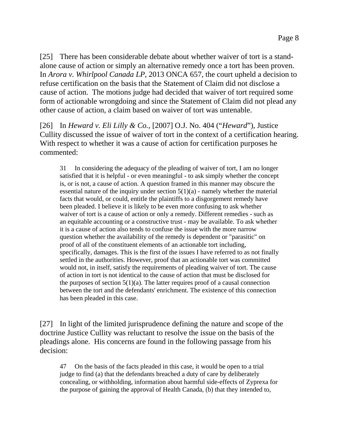[25] There has been considerable debate about whether waiver of tort is a standalone cause of action or simply an alternative remedy once a tort has been proven. In *Arora v. Whirlpool Canada LP*, 2013 ONCA 657, the court upheld a decision to refuse certification on the basis that the Statement of Claim did not disclose a cause of action. The motions judge had decided that waiver of tort required some form of actionable wrongdoing and since the Statement of Claim did not plead any other cause of action, a claim based on waiver of tort was untenable.

[26] In *Heward v. Eli Lilly & Co.*, [2007] O.J. No. 404 ("*Heward*"), Justice Cullity discussed the issue of waiver of tort in the context of a certification hearing. With respect to whether it was a cause of action for certification purposes he commented:

31 In considering the adequacy of the pleading of waiver of tort, I am no longer satisfied that it is helpful - or even meaningful - to ask simply whether the concept is, or is not, a cause of action. A question framed in this manner may obscure the essential nature of the inquiry under section  $5(1)(a)$  - namely whether the material facts that would, or could, entitle the plaintiffs to a disgorgement remedy have been pleaded. I believe it is likely to be even more confusing to ask whether waiver of tort is a cause of action or only a remedy. Different remedies - such as an equitable accounting or a constructive trust - may be available. To ask whether it is a cause of action also tends to confuse the issue with the more narrow question whether the availability of the remedy is dependent or "parasitic" on proof of all of the constituent elements of an actionable tort including, specifically, damages. This is the first of the issues I have referred to as not finally settled in the authorities. However, proof that an actionable tort was committed would not, in itself, satisfy the requirements of pleading waiver of tort. The cause of action in tort is not identical to the cause of action that must be disclosed for the purposes of section  $5(1)(a)$ . The latter requires proof of a causal connection between the tort and the defendants' enrichment. The existence of this connection has been pleaded in this case.

[27] In light of the limited jurisprudence defining the nature and scope of the doctrine Justice Cullity was reluctant to resolve the issue on the basis of the pleadings alone. His concerns are found in the following passage from his decision:

47 On the basis of the facts pleaded in this case, it would be open to a trial judge to find (a) that the defendants breached a duty of care by deliberately concealing, or withholding, information about harmful side-effects of Zyprexa for the purpose of gaining the approval of Health Canada, (b) that they intended to,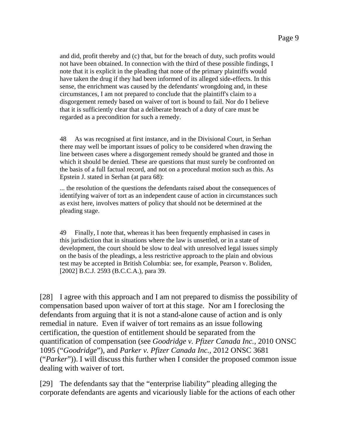and did, profit thereby and (c) that, but for the breach of duty, such profits would not have been obtained. In connection with the third of these possible findings, I note that it is explicit in the pleading that none of the primary plaintiffs would have taken the drug if they had been informed of its alleged side-effects. In this sense, the enrichment was caused by the defendants' wrongdoing and, in these circumstances, I am not prepared to conclude that the plaintiff's claim to a disgorgement remedy based on waiver of tort is bound to fail. Nor do I believe that it is sufficiently clear that a deliberate breach of a duty of care must be regarded as a precondition for such a remedy.

48 As was recognised at first instance, and in the Divisional Court, in Serhan there may well be important issues of policy to be considered when drawing the line between cases where a disgorgement remedy should be granted and those in which it should be denied. These are questions that must surely be confronted on the basis of a full factual record, and not on a procedural motion such as this. As Epstein J. stated in Serhan (at para 68):

... the resolution of the questions the defendants raised about the consequences of identifying waiver of tort as an independent cause of action in circumstances such as exist here, involves matters of policy that should not be determined at the pleading stage.

49 Finally, I note that, whereas it has been frequently emphasised in cases in this jurisdiction that in situations where the law is unsettled, or in a state of development, the court should be slow to deal with unresolved legal issues simply on the basis of the pleadings, a less restrictive approach to the plain and obvious test may be accepted in British Columbia: see, for example, Pearson v. Boliden, [2002] B.C.J. 2593 (B.C.C.A.), para 39.

[28] I agree with this approach and I am not prepared to dismiss the possibility of compensation based upon waiver of tort at this stage. Nor am I foreclosing the defendants from arguing that it is not a stand-alone cause of action and is only remedial in nature. Even if waiver of tort remains as an issue following certification, the question of entitlement should be separated from the quantification of compensation (see *Goodridge v. Pfizer Canada Inc.*, 2010 ONSC 1095 ("*Goodridge*"), and *Parker v. Pfizer Canada Inc.*, 2012 ONSC 3681 ("*Parker*")). I will discuss this further when I consider the proposed common issue dealing with waiver of tort.

[29] The defendants say that the "enterprise liability" pleading alleging the corporate defendants are agents and vicariously liable for the actions of each other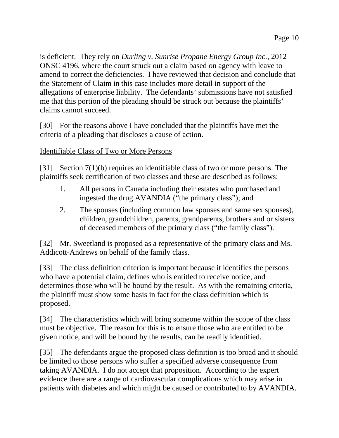is deficient. They rely on *Durling v. Sunrise Propane Energy Group Inc.*, 2012 ONSC 4196, where the court struck out a claim based on agency with leave to amend to correct the deficiencies. I have reviewed that decision and conclude that the Statement of Claim in this case includes more detail in support of the allegations of enterprise liability. The defendants' submissions have not satisfied me that this portion of the pleading should be struck out because the plaintiffs' claims cannot succeed.

[30] For the reasons above I have concluded that the plaintiffs have met the criteria of a pleading that discloses a cause of action.

#### Identifiable Class of Two or More Persons

[31] Section 7(1)(b) requires an identifiable class of two or more persons. The plaintiffs seek certification of two classes and these are described as follows:

- 1. All persons in Canada including their estates who purchased and ingested the drug AVANDIA ("the primary class"); and
- 2. The spouses (including common law spouses and same sex spouses), children, grandchildren, parents, grandparents, brothers and or sisters of deceased members of the primary class ("the family class").

[32] Mr. Sweetland is proposed as a representative of the primary class and Ms. Addicott-Andrews on behalf of the family class.

[33] The class definition criterion is important because it identifies the persons who have a potential claim, defines who is entitled to receive notice, and determines those who will be bound by the result. As with the remaining criteria, the plaintiff must show some basis in fact for the class definition which is proposed.

[34] The characteristics which will bring someone within the scope of the class must be objective. The reason for this is to ensure those who are entitled to be given notice, and will be bound by the results, can be readily identified.

[35] The defendants argue the proposed class definition is too broad and it should be limited to those persons who suffer a specified adverse consequence from taking AVANDIA. I do not accept that proposition. According to the expert evidence there are a range of cardiovascular complications which may arise in patients with diabetes and which might be caused or contributed to by AVANDIA.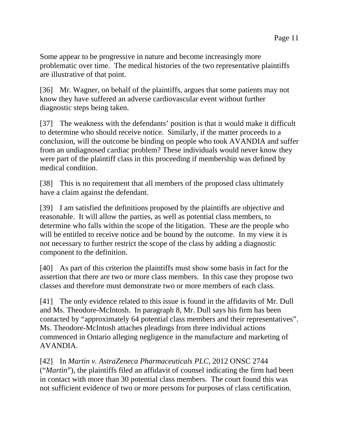Some appear to be progressive in nature and become increasingly more problematic over time. The medical histories of the two representative plaintiffs are illustrative of that point.

[36] Mr. Wagner, on behalf of the plaintiffs, argues that some patients may not know they have suffered an adverse cardiovascular event without further diagnostic steps being taken.

[37] The weakness with the defendants' position is that it would make it difficult to determine who should receive notice. Similarly, if the matter proceeds to a conclusion, will the outcome be binding on people who took AVANDIA and suffer from an undiagnosed cardiac problem? These individuals would never know they were part of the plaintiff class in this proceeding if membership was defined by medical condition.

[38] This is no requirement that all members of the proposed class ultimately have a claim against the defendant.

[39] I am satisfied the definitions proposed by the plaintiffs are objective and reasonable. It will allow the parties, as well as potential class members, to determine who falls within the scope of the litigation. These are the people who will be entitled to receive notice and be bound by the outcome. In my view it is not necessary to further restrict the scope of the class by adding a diagnostic component to the definition.

[40] As part of this criterion the plaintiffs must show some basis in fact for the assertion that there are two or more class members. In this case they propose two classes and therefore must demonstrate two or more members of each class.

[41] The only evidence related to this issue is found in the affidavits of Mr. Dull and Ms. Theodore-McIntosh. In paragraph 8, Mr. Dull says his firm has been contacted by "approximately 64 potential class members and their representatives". Ms. Theodore-McIntosh attaches pleadings from three individual actions commenced in Ontario alleging negligence in the manufacture and marketing of AVANDIA.

[42] In *Martin v. AstraZeneca Pharmaceuticals PLC*, 2012 ONSC 2744 ("*Martin*"), the plaintiffs filed an affidavit of counsel indicating the firm had been in contact with more than 30 potential class members. The court found this was not sufficient evidence of two or more persons for purposes of class certification.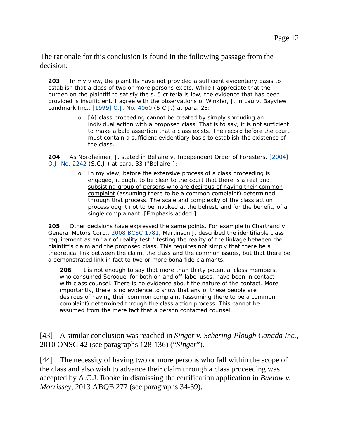The rationale for this conclusion is found in the following passage from the decision:

**203** In my view, the plaintiffs have not provided a sufficient evidentiary basis to establish that a class of two or more persons exists. While I appreciate that the burden on the plaintiff to satisfy the s. 5 criteria is low, the evidence that has been provided is insufficient. I agree with the observations of Winkler, J. in *Lau v. Bayview Landmark Inc*., [1999] O.J. No. 4060 (S.C.J.) at para. 23:

> o [A] class proceeding cannot be created by simply shrouding an individual action with a proposed class. That is to say, it is not sufficient to make a bald assertion that a class exists. The record before the court must contain a sufficient evidentiary basis to establish the existence of the class.

**204** As Nordheimer, J. stated in *Bellaire v. Independent Order of Foresters*, [2004] O.J. No. 2242 (S.C.J.) at para. 33 ("*Bellaire*"):

> o In my view, before the extensive process of a class proceeding is engaged, it ought to be clear to the court that there is a real and subsisting group of persons who are desirous of having their common complaint (assuming there to be a common complaint) determined through that process. The scale and complexity of the class action process ought not to be invoked at the behest, and for the benefit, of a single complainant. [Emphasis added.]

**205** Other decisions have expressed the same points. For example in *Chartrand v. General Motors Corp*., 2008 BCSC 1781, Martinson J. described the identifiable class requirement as an "air of reality test," testing the reality of the linkage between the plaintiff's claim and the proposed class. This requires not simply that there be a theoretical link between the claim, the class and the common issues, but that there be a demonstrated link in fact to two or more bona fide claimants.

**206** It is not enough to say that more than thirty potential class members, who consumed Seroquel for both on and off-label uses, have been in contact with class counsel. There is no evidence about the nature of the contact. More importantly, there is no evidence to show that any of these people are desirous of having their common complaint (assuming there to be a common complaint) determined through the class action process. This cannot be assumed from the mere fact that a person contacted counsel.

[43] A similar conclusion was reached in *Singer v. Schering-Plough Canada Inc.*, 2010 ONSC 42 (see paragraphs 128-136) ("*Singer*").

[44] The necessity of having two or more persons who fall within the scope of the class and also wish to advance their claim through a class proceeding was accepted by A.C.J. Rooke in dismissing the certification application in *Buelow v. Morrissey*, 2013 ABQB 277 (see paragraphs 34-39).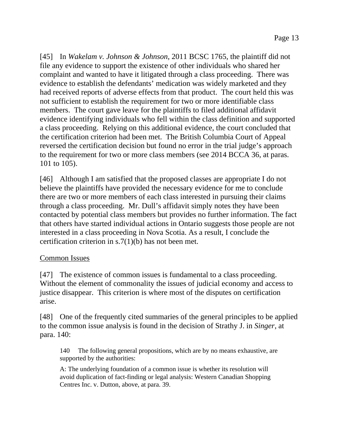[45] In *Wakelam v. Johnson & Johnson*, 2011 BCSC 1765, the plaintiff did not file any evidence to support the existence of other individuals who shared her complaint and wanted to have it litigated through a class proceeding. There was evidence to establish the defendants' medication was widely marketed and they had received reports of adverse effects from that product. The court held this was not sufficient to establish the requirement for two or more identifiable class members. The court gave leave for the plaintiffs to filed additional affidavit evidence identifying individuals who fell within the class definition and supported a class proceeding. Relying on this additional evidence, the court concluded that the certification criterion had been met. The British Columbia Court of Appeal reversed the certification decision but found no error in the trial judge's approach to the requirement for two or more class members (see 2014 BCCA 36, at paras. 101 to 105).

[46] Although I am satisfied that the proposed classes are appropriate I do not believe the plaintiffs have provided the necessary evidence for me to conclude there are two or more members of each class interested in pursuing their claims through a class proceeding. Mr. Dull's affidavit simply notes they have been contacted by potential class members but provides no further information. The fact that others have started individual actions in Ontario suggests those people are not interested in a class proceeding in Nova Scotia. As a result, I conclude the certification criterion in s.7(1)(b) has not been met.

## Common Issues

[47] The existence of common issues is fundamental to a class proceeding. Without the element of commonality the issues of judicial economy and access to justice disappear. This criterion is where most of the disputes on certification arise.

[48] One of the frequently cited summaries of the general principles to be applied to the common issue analysis is found in the decision of Strathy J. in *Singer*, at para. 140:

140 The following general propositions, which are by no means exhaustive, are supported by the authorities:

A: The underlying foundation of a common issue is whether its resolution will avoid duplication of fact-finding or legal analysis: Western Canadian Shopping Centres Inc. v. Dutton, above, at para. 39.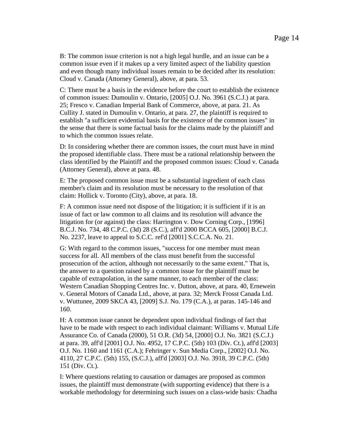B: The common issue criterion is not a high legal hurdle, and an issue can be a common issue even if it makes up a very limited aspect of the liability question and even though many individual issues remain to be decided after its resolution: Cloud v. Canada (Attorney General), above, at para. 53.

C: There must be a basis in the evidence before the court to establish the existence of common issues: Dumoulin v. Ontario, [2005] O.J. No. 3961 (S.C.J.) at para. 25; Fresco v. Canadian Imperial Bank of Commerce, above, at para. 21. As Cullity J. stated in Dumoulin v. Ontario, at para. 27, the plaintiff is required to establish "a sufficient evidential basis for the existence of the common issues" in the sense that there is some factual basis for the claims made by the plaintiff and to which the common issues relate.

D: In considering whether there are common issues, the court must have in mind the proposed identifiable class. There must be a rational relationship between the class identified by the Plaintiff and the proposed common issues: Cloud v. Canada (Attorney General), above at para. 48.

E: The proposed common issue must be a substantial ingredient of each class member's claim and its resolution must be necessary to the resolution of that claim: Hollick v. Toronto (City), above, at para. 18.

F: A common issue need not dispose of the litigation; it is sufficient if it is an issue of fact or law common to all claims and its resolution will advance the litigation for (or against) the class: Harrington v. Dow Corning Corp., [1996] B.C.J. No. 734, 48 C.P.C. (3d) 28 (S.C.), aff'd 2000 BCCA 605, [2000] B.C.J. No. 2237, leave to appeal to S.C.C. ref'd [2001] S.C.C.A. No. 21.

G: With regard to the common issues, "success for one member must mean success for all. All members of the class must benefit from the successful prosecution of the action, although not necessarily to the same extent." That is, the answer to a question raised by a common issue for the plaintiff must be capable of extrapolation, in the same manner, to each member of the class: Western Canadian Shopping Centres Inc. v. Dutton, above, at para. 40, Ernewein v. General Motors of Canada Ltd., above, at para. 32; Merck Frosst Canada Ltd. v. Wuttunee, 2009 SKCA 43, [2009] S.J. No. 179 (C.A.), at paras. 145-146 and 160.

H: A common issue cannot be dependent upon individual findings of fact that have to be made with respect to each individual claimant: Williams v. Mutual Life Assurance Co. of Canada (2000), 51 O.R. (3d) 54, [2000] O.J. No. 3821 (S.C.J.) at para. 39, aff'd [2001] O.J. No. 4952, 17 C.P.C. (5th) 103 (Div. Ct.), aff'd [2003] O.J. No. 1160 and 1161 (C.A.); Fehringer v. Sun Media Corp., [2002] O.J. No. 4110, 27 C.P.C. (5th) 155, (S.C.J.), aff'd [2003] O.J. No. 3918, 39 C.P.C. (5th) 151 (Div. Ct.).

I: Where questions relating to causation or damages are proposed as common issues, the plaintiff must demonstrate (with supporting evidence) that there is a workable methodology for determining such issues on a class-wide basis: Chadha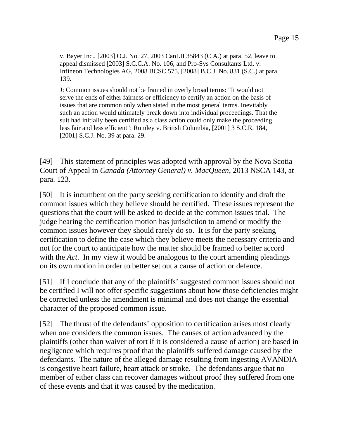v. Bayer Inc., [2003] O.J. No. 27, 2003 CanLII 35843 (C.A.) at para. 52, leave to appeal dismissed [2003] S.C.C.A. No. 106, and Pro-Sys Consultants Ltd. v. Infineon Technologies AG, 2008 BCSC 575, [2008] B.C.J. No. 831 (S.C.) at para. 139.

J: Common issues should not be framed in overly broad terms: "It would not serve the ends of either fairness or efficiency to certify an action on the basis of issues that are common only when stated in the most general terms. Inevitably such an action would ultimately break down into individual proceedings. That the suit had initially been certified as a class action could only make the proceeding less fair and less efficient": Rumley v. British Columbia, [2001] 3 S.C.R. 184, [2001] S.C.J. No. 39 at para. 29.

[49] This statement of principles was adopted with approval by the Nova Scotia Court of Appeal in *Canada (Attorney General) v. MacQueen*, 2013 NSCA 143, at para. 123.

[50] It is incumbent on the party seeking certification to identify and draft the common issues which they believe should be certified. These issues represent the questions that the court will be asked to decide at the common issues trial. The judge hearing the certification motion has jurisdiction to amend or modify the common issues however they should rarely do so. It is for the party seeking certification to define the case which they believe meets the necessary criteria and not for the court to anticipate how the matter should be framed to better accord with the *Act*. In my view it would be analogous to the court amending pleadings on its own motion in order to better set out a cause of action or defence.

[51] If I conclude that any of the plaintiffs' suggested common issues should not be certified I will not offer specific suggestions about how those deficiencies might be corrected unless the amendment is minimal and does not change the essential character of the proposed common issue.

[52] The thrust of the defendants' opposition to certification arises most clearly when one considers the common issues. The causes of action advanced by the plaintiffs (other than waiver of tort if it is considered a cause of action) are based in negligence which requires proof that the plaintiffs suffered damage caused by the defendants. The nature of the alleged damage resulting from ingesting AVANDIA is congestive heart failure, heart attack or stroke. The defendants argue that no member of either class can recover damages without proof they suffered from one of these events and that it was caused by the medication.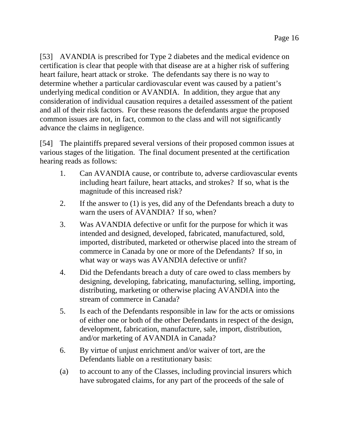[53] AVANDIA is prescribed for Type 2 diabetes and the medical evidence on certification is clear that people with that disease are at a higher risk of suffering heart failure, heart attack or stroke. The defendants say there is no way to determine whether a particular cardiovascular event was caused by a patient's underlying medical condition or AVANDIA. In addition, they argue that any consideration of individual causation requires a detailed assessment of the patient and all of their risk factors. For these reasons the defendants argue the proposed common issues are not, in fact, common to the class and will not significantly advance the claims in negligence.

[54] The plaintiffs prepared several versions of their proposed common issues at various stages of the litigation. The final document presented at the certification hearing reads as follows:

- 1. Can AVANDIA cause, or contribute to, adverse cardiovascular events including heart failure, heart attacks, and strokes? If so, what is the magnitude of this increased risk?
- 2. If the answer to (1) is yes, did any of the Defendants breach a duty to warn the users of AVANDIA? If so, when?
- 3. Was AVANDIA defective or unfit for the purpose for which it was intended and designed, developed, fabricated, manufactured, sold, imported, distributed, marketed or otherwise placed into the stream of commerce in Canada by one or more of the Defendants? If so, in what way or ways was AVANDIA defective or unfit?
- 4. Did the Defendants breach a duty of care owed to class members by designing, developing, fabricating, manufacturing, selling, importing, distributing, marketing or otherwise placing AVANDIA into the stream of commerce in Canada?
- 5. Is each of the Defendants responsible in law for the acts or omissions of either one or both of the other Defendants in respect of the design, development, fabrication, manufacture, sale, import, distribution, and/or marketing of AVANDIA in Canada?
- 6. By virtue of unjust enrichment and/or waiver of tort, are the Defendants liable on a restitutionary basis:
- (a) to account to any of the Classes, including provincial insurers which have subrogated claims, for any part of the proceeds of the sale of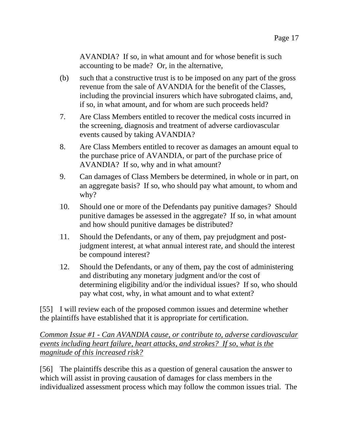AVANDIA? If so, in what amount and for whose benefit is such accounting to be made? Or, in the alternative,

- (b) such that a constructive trust is to be imposed on any part of the gross revenue from the sale of AVANDIA for the benefit of the Classes, including the provincial insurers which have subrogated claims, and, if so, in what amount, and for whom are such proceeds held?
- 7. Are Class Members entitled to recover the medical costs incurred in the screening, diagnosis and treatment of adverse cardiovascular events caused by taking AVANDIA?
- 8. Are Class Members entitled to recover as damages an amount equal to the purchase price of AVANDIA, or part of the purchase price of AVANDIA? If so, why and in what amount?
- 9. Can damages of Class Members be determined, in whole or in part, on an aggregate basis? If so, who should pay what amount, to whom and why?
- 10. Should one or more of the Defendants pay punitive damages? Should punitive damages be assessed in the aggregate? If so, in what amount and how should punitive damages be distributed?
- 11. Should the Defendants, or any of them, pay prejudgment and postjudgment interest, at what annual interest rate, and should the interest be compound interest?
- 12. Should the Defendants, or any of them, pay the cost of administering and distributing any monetary judgment and/or the cost of determining eligibility and/or the individual issues? If so, who should pay what cost, why, in what amount and to what extent?

[55] I will review each of the proposed common issues and determine whether the plaintiffs have established that it is appropriate for certification.

*Common Issue #1 - Can AVANDIA cause, or contribute to, adverse cardiovascular events including heart failure, heart attacks, and strokes? If so, what is the magnitude of this increased risk?* 

[56] The plaintiffs describe this as a question of general causation the answer to which will assist in proving causation of damages for class members in the individualized assessment process which may follow the common issues trial. The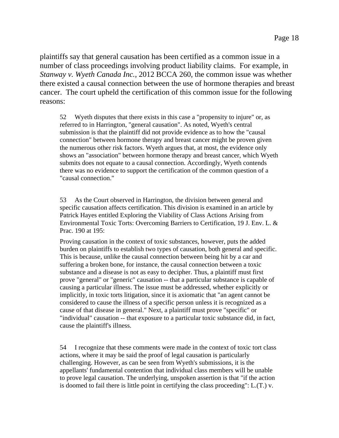plaintiffs say that general causation has been certified as a common issue in a number of class proceedings involving product liability claims. For example, in *Stanway v. Wyeth Canada Inc.*, 2012 BCCA 260, the common issue was whether there existed a causal connection between the use of hormone therapies and breast cancer. The court upheld the certification of this common issue for the following reasons:

52 Wyeth disputes that there exists in this case a "propensity to injure" or, as referred to in Harrington, "general causation". As noted, Wyeth's central submission is that the plaintiff did not provide evidence as to how the "causal connection" between hormone therapy and breast cancer might be proven given the numerous other risk factors. Wyeth argues that, at most, the evidence only shows an "association" between hormone therapy and breast cancer, which Wyeth submits does not equate to a causal connection. Accordingly, Wyeth contends there was no evidence to support the certification of the common question of a "causal connection."

53 As the Court observed in Harrington, the division between general and specific causation affects certification. This division is examined in an article by Patrick Hayes entitled Exploring the Viability of Class Actions Arising from Environmental Toxic Torts: Overcoming Barriers to Certification, 19 J. Env. L. & Prac. 190 at 195:

Proving causation in the context of toxic substances, however, puts the added burden on plaintiffs to establish two types of causation, both general and specific. This is because, unlike the causal connection between being hit by a car and suffering a broken bone, for instance, the causal connection between a toxic substance and a disease is not as easy to decipher. Thus, a plaintiff must first prove "general" or "generic" causation -- that a particular substance is capable of causing a particular illness. The issue must be addressed, whether explicitly or implicitly, in toxic torts litigation, since it is axiomatic that "an agent cannot be considered to cause the illness of a specific person unless it is recognized as a cause of that disease in general." Next, a plaintiff must prove "specific" or "individual" causation -- that exposure to a particular toxic substance did, in fact, cause the plaintiff's illness.

54 I recognize that these comments were made in the context of toxic tort class actions, where it may be said the proof of legal causation is particularly challenging. However, as can be seen from Wyeth's submissions, it is the appellants' fundamental contention that individual class members will be unable to prove legal causation. The underlying, unspoken assertion is that "if the action is doomed to fail there is little point in certifying the class proceeding": L.(T.) v.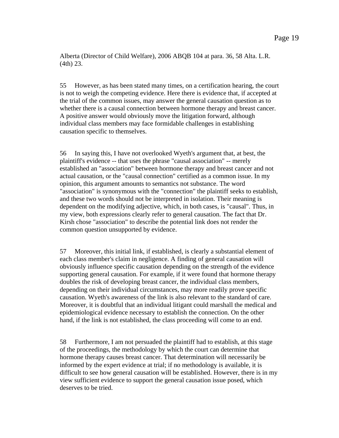Alberta (Director of Child Welfare), 2006 ABQB 104 at para. 36, 58 Alta. L.R. (4th) 23.

55 However, as has been stated many times, on a certification hearing, the court is not to weigh the competing evidence. Here there is evidence that, if accepted at the trial of the common issues, may answer the general causation question as to whether there is a causal connection between hormone therapy and breast cancer. A positive answer would obviously move the litigation forward, although individual class members may face formidable challenges in establishing causation specific to themselves.

56 In saying this, I have not overlooked Wyeth's argument that, at best, the plaintiff's evidence -- that uses the phrase "causal association" -- merely established an "association" between hormone therapy and breast cancer and not actual causation, or the "causal connection" certified as a common issue. In my opinion, this argument amounts to semantics not substance. The word "association" is synonymous with the "connection" the plaintiff seeks to establish, and these two words should not be interpreted in isolation. Their meaning is dependent on the modifying adjective, which, in both cases, is "causal". Thus, in my view, both expressions clearly refer to general causation. The fact that Dr. Kirsh chose "association" to describe the potential link does not render the common question unsupported by evidence.

57 Moreover, this initial link, if established, is clearly a substantial element of each class member's claim in negligence. A finding of general causation will obviously influence specific causation depending on the strength of the evidence supporting general causation. For example, if it were found that hormone therapy doubles the risk of developing breast cancer, the individual class members, depending on their individual circumstances, may more readily prove specific causation. Wyeth's awareness of the link is also relevant to the standard of care. Moreover, it is doubtful that an individual litigant could marshall the medical and epidemiological evidence necessary to establish the connection. On the other hand, if the link is not established, the class proceeding will come to an end.

58 Furthermore, I am not persuaded the plaintiff had to establish, at this stage of the proceedings, the methodology by which the court can determine that hormone therapy causes breast cancer. That determination will necessarily be informed by the expert evidence at trial; if no methodology is available, it is difficult to see how general causation will be established. However, there is in my view sufficient evidence to support the general causation issue posed, which deserves to be tried.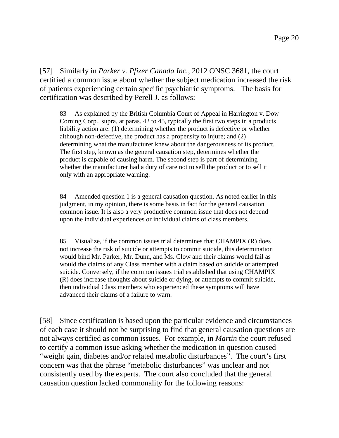[57] Similarly in *Parker v. Pfizer Canada Inc.*, 2012 ONSC 3681, the court certified a common issue about whether the subject medication increased the risk of patients experiencing certain specific psychiatric symptoms. The basis for certification was described by Perell J. as follows:

83 As explained by the British Columbia Court of Appeal in Harrington v. Dow Corning Corp., supra, at paras. 42 to 45, typically the first two steps in a products liability action are: (1) determining whether the product is defective or whether although non-defective, the product has a propensity to injure; and (2) determining what the manufacturer knew about the dangerousness of its product. The first step, known as the general causation step, determines whether the product is capable of causing harm. The second step is part of determining whether the manufacturer had a duty of care not to sell the product or to sell it only with an appropriate warning.

84 Amended question 1 is a general causation question. As noted earlier in this judgment, in my opinion, there is some basis in fact for the general causation common issue. It is also a very productive common issue that does not depend upon the individual experiences or individual claims of class members.

85 Visualize, if the common issues trial determines that CHAMPIX (R) does not increase the risk of suicide or attempts to commit suicide, this determination would bind Mr. Parker, Mr. Dunn, and Ms. Clow and their claims would fail as would the claims of any Class member with a claim based on suicide or attempted suicide. Conversely, if the common issues trial established that using CHAMPIX (R) does increase thoughts about suicide or dying, or attempts to commit suicide, then individual Class members who experienced these symptoms will have advanced their claims of a failure to warn.

[58] Since certification is based upon the particular evidence and circumstances of each case it should not be surprising to find that general causation questions are not always certified as common issues. For example, in *Martin* the court refused to certify a common issue asking whether the medication in question caused "weight gain, diabetes and/or related metabolic disturbances". The court's first concern was that the phrase "metabolic disturbances" was unclear and not consistently used by the experts. The court also concluded that the general causation question lacked commonality for the following reasons: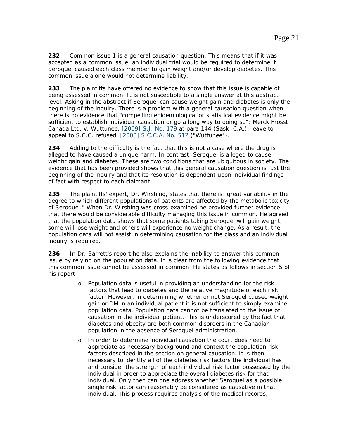**232** Common issue 1 is a general causation question. This means that if it was accepted as a common issue, an individual trial would be required to determine if Seroquel caused each class member to gain weight and/or develop diabetes. This common issue alone would not determine liability.

**233** The plaintiffs have offered no evidence to show that this issue is capable of being assessed in common. It is not susceptible to a single answer at this abstract level. Asking in the abstract if Seroquel can cause weight gain and diabetes is only the beginning of the inquiry. There is a problem with a general causation question when there is no evidence that "compelling epidemiological or statistical evidence might be sufficient to establish individual causation or go a long way to doing so": *Merck Frosst Canada Ltd. v. Wuttunee*, [2009] S.J. No. 179 at para 144 (Sask. C.A.), leave to appeal to S.C.C. refused, [2008] S.C.C.A. No. 512 ("*Wuttunee")*.

**234** Adding to the difficulty is the fact that this is not a case where the drug is alleged to have caused a unique harm. In contrast, Seroquel is alleged to cause weight gain and diabetes. These are two conditions that are ubiquitous in society. The evidence that has been provided shows that this general causation question is just the beginning of the inquiry and that its resolution is dependent upon individual findings of fact with respect to each claimant.

**235** The plaintiffs' expert, Dr. Wirshing, states that there is "great variability in the degree to which different populations of patients are affected by the metabolic toxicity of Seroquel." When Dr. Wirshing was cross-examined he provided further evidence that there would be considerable difficulty managing this issue in common. He agreed that the population data shows that some patients taking Seroquel will gain weight, some will lose weight and others will experience no weight change. As a result, the population data will not assist in determining causation for the class and an individual inquiry is required.

**236** In Dr. Barrett's report he also explains the inability to answer this common issue by relying on the population data. It is clear from the following evidence that this common issue cannot be assessed in common. He states as follows in section 5 of his report:

- o Population data is useful in providing an understanding for the risk factors that lead to diabetes and the relative magnitude of each risk factor. However, in determining whether or not Seroquel caused weight gain or DM in an individual patient it is not sufficient to simply examine population data. Population data cannot be translated to the issue of causation in the individual patient. This is underscored by the fact that diabetes and obesity are both common disorders in the Canadian population in the absence of Seroquel administration.
- o In order to determine individual causation the court does need to appreciate as necessary background and context the population risk factors described in the section on general causation. It is then necessary to identify all of the diabetes risk factors the individual has and consider the strength of each individual risk factor possessed by the individual in order to appreciate the overall diabetes risk for that individual. Only then can one address whether Seroquel as a possible single risk factor can reasonably be considered as causative in that individual. This process requires analysis of the medical records,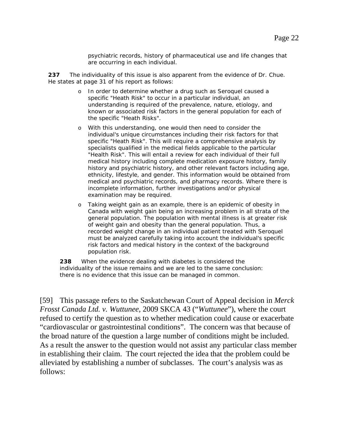psychiatric records, history of pharmaceutical use and life changes that are occurring in each individual.

**237** The individuality of this issue is also apparent from the evidence of Dr. Chue. He states at page 31 of his report as follows:

- o In order to determine whether a drug such as Seroquel caused a specific "Heath Risk" to occur in a particular individual, an understanding is required of the prevalence, nature, etiology, and known or associated risk factors in the general population for each of the specific "Heath Risks".
- o With this understanding, one would then need to consider the individual's unique circumstances including their risk factors for that specific "Heath Risk". This will require a comprehensive analysis by specialists qualified in the medical fields applicable to the particular "Health Risk". This will entail a review for each individual of their full medical history including complete medication exposure history, family history and psychiatric history, and other relevant factors including age, ethnicity, lifestyle, and gender. This information would be obtained from medical and psychiatric records, and pharmacy records. Where there is incomplete information, further investigations and/or physical examination may be required.
- o Taking weight gain as an example, there is an epidemic of obesity in Canada with weight gain being an increasing problem in all strata of the general population. The population with mental illness is at greater risk of weight gain and obesity than the general population. Thus, a recorded weight change in an individual patient treated with Seroquel must be analyzed carefully taking into account the individual's specific risk factors and medical history in the context of the background population risk.

**238** When the evidence dealing with diabetes is considered the individuality of the issue remains and we are led to the same conclusion: there is no evidence that this issue can be managed in common.

[59] This passage refers to the Saskatchewan Court of Appeal decision in *Merck Frosst Canada Ltd. v. Wuttunee*, 2009 SKCA 43 ("*Wuttunee*"), where the court refused to certify the question as to whether medication could cause or exacerbate "cardiovascular or gastrointestinal conditions". The concern was that because of the broad nature of the question a large number of conditions might be included. As a result the answer to the question would not assist any particular class member in establishing their claim. The court rejected the idea that the problem could be alleviated by establishing a number of subclasses. The court's analysis was as follows: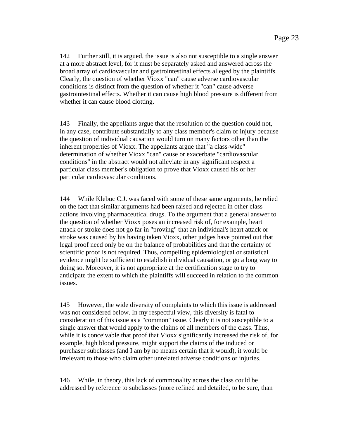142 Further still, it is argued, the issue is also not susceptible to a single answer at a more abstract level, for it must be separately asked and answered across the broad array of cardiovascular and gastrointestinal effects alleged by the plaintiffs. Clearly, the question of whether Vioxx "can" cause adverse cardiovascular conditions is distinct from the question of whether it "can" cause adverse gastrointestinal effects. Whether it can cause high blood pressure is different from whether it can cause blood clotting.

143 Finally, the appellants argue that the resolution of the question could not, in any case, contribute substantially to any class member's claim of injury because the question of individual causation would turn on many factors other than the inherent properties of Vioxx. The appellants argue that "a class-wide" determination of whether Vioxx "can" cause or exacerbate "cardiovascular conditions" in the abstract would not alleviate in any significant respect a particular class member's obligation to prove that Vioxx caused his or her particular cardiovascular conditions.

144 While Klebuc C.J. was faced with some of these same arguments, he relied on the fact that similar arguments had been raised and rejected in other class actions involving pharmaceutical drugs. To the argument that a general answer to the question of whether Vioxx poses an increased risk of, for example, heart attack or stroke does not go far in "proving" that an individual's heart attack or stroke was caused by his having taken Vioxx, other judges have pointed out that legal proof need only be on the balance of probabilities and that the certainty of scientific proof is not required. Thus, compelling epidemiological or statistical evidence might be sufficient to establish individual causation, or go a long way to doing so. Moreover, it is not appropriate at the certification stage to try to anticipate the extent to which the plaintiffs will succeed in relation to the common issues.

145 However, the wide diversity of complaints to which this issue is addressed was not considered below. In my respectful view, this diversity is fatal to consideration of this issue as a "common" issue. Clearly it is not susceptible to a single answer that would apply to the claims of all members of the class. Thus, while it is conceivable that proof that Vioxx significantly increased the risk of, for example, high blood pressure, might support the claims of the induced or purchaser subclasses (and I am by no means certain that it would), it would be irrelevant to those who claim other unrelated adverse conditions or injuries.

146 While, in theory, this lack of commonality across the class could be addressed by reference to subclasses (more refined and detailed, to be sure, than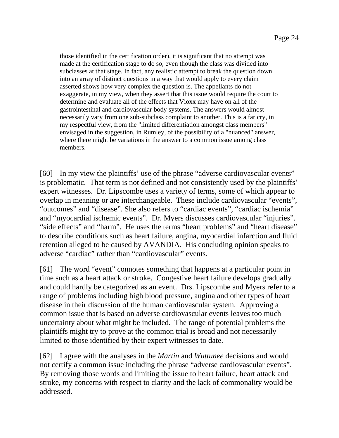those identified in the certification order), it is significant that no attempt was made at the certification stage to do so, even though the class was divided into subclasses at that stage. In fact, any realistic attempt to break the question down into an array of distinct questions in a way that would apply to every claim asserted shows how very complex the question is. The appellants do not exaggerate, in my view, when they assert that this issue would require the court to determine and evaluate all of the effects that Vioxx may have on all of the gastrointestinal and cardiovascular body systems. The answers would almost necessarily vary from one sub-subclass complaint to another. This is a far cry, in my respectful view, from the "limited differentiation amongst class members" envisaged in the suggestion, in Rumley, of the possibility of a "nuanced" answer, where there might be variations in the answer to a common issue among class members.

[60] In my view the plaintiffs' use of the phrase "adverse cardiovascular events" is problematic. That term is not defined and not consistently used by the plaintiffs' expert witnesses. Dr. Lipscombe uses a variety of terms, some of which appear to overlap in meaning or are interchangeable. These include cardiovascular "events", "outcomes" and "disease". She also refers to "cardiac events", "cardiac ischemia" and "myocardial ischemic events". Dr. Myers discusses cardiovascular "injuries". "side effects" and "harm". He uses the terms "heart problems" and "heart disease" to describe conditions such as heart failure, angina, myocardial infarction and fluid retention alleged to be caused by AVANDIA. His concluding opinion speaks to adverse "cardiac" rather than "cardiovascular" events.

[61] The word "event" connotes something that happens at a particular point in time such as a heart attack or stroke. Congestive heart failure develops gradually and could hardly be categorized as an event. Drs. Lipscombe and Myers refer to a range of problems including high blood pressure, angina and other types of heart disease in their discussion of the human cardiovascular system. Approving a common issue that is based on adverse cardiovascular events leaves too much uncertainty about what might be included. The range of potential problems the plaintiffs might try to prove at the common trial is broad and not necessarily limited to those identified by their expert witnesses to date.

[62] I agree with the analyses in the *Martin* and *Wuttunee* decisions and would not certify a common issue including the phrase "adverse cardiovascular events". By removing those words and limiting the issue to heart failure, heart attack and stroke, my concerns with respect to clarity and the lack of commonality would be addressed.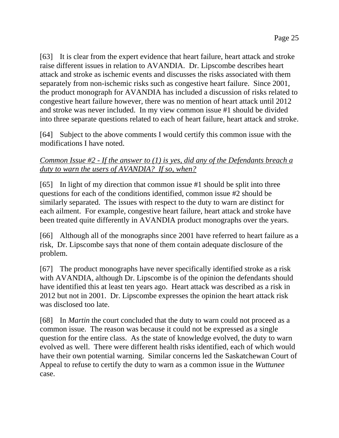[63] It is clear from the expert evidence that heart failure, heart attack and stroke raise different issues in relation to AVANDIA. Dr. Lipscombe describes heart attack and stroke as ischemic events and discusses the risks associated with them separately from non-ischemic risks such as congestive heart failure. Since 2001, the product monograph for AVANDIA has included a discussion of risks related to congestive heart failure however, there was no mention of heart attack until 2012 and stroke was never included. In my view common issue #1 should be divided into three separate questions related to each of heart failure, heart attack and stroke.

[64] Subject to the above comments I would certify this common issue with the modifications I have noted.

### *Common Issue #2 - If the answer to (1) is yes, did any of the Defendants breach a duty to warn the users of AVANDIA? If so, when?*

[65] In light of my direction that common issue #1 should be split into three questions for each of the conditions identified, common issue #2 should be similarly separated. The issues with respect to the duty to warn are distinct for each ailment. For example, congestive heart failure, heart attack and stroke have been treated quite differently in AVANDIA product monographs over the years.

[66] Although all of the monographs since 2001 have referred to heart failure as a risk, Dr. Lipscombe says that none of them contain adequate disclosure of the problem.

[67] The product monographs have never specifically identified stroke as a risk with AVANDIA, although Dr. Lipscombe is of the opinion the defendants should have identified this at least ten years ago. Heart attack was described as a risk in 2012 but not in 2001. Dr. Lipscombe expresses the opinion the heart attack risk was disclosed too late.

[68] In *Martin* the court concluded that the duty to warn could not proceed as a common issue. The reason was because it could not be expressed as a single question for the entire class. As the state of knowledge evolved, the duty to warn evolved as well. There were different health risks identified, each of which would have their own potential warning. Similar concerns led the Saskatchewan Court of Appeal to refuse to certify the duty to warn as a common issue in the *Wuttunee* case.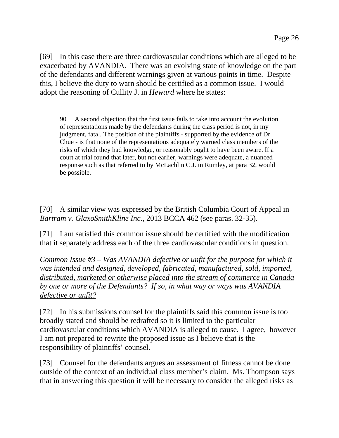[69] In this case there are three cardiovascular conditions which are alleged to be exacerbated by AVANDIA. There was an evolving state of knowledge on the part of the defendants and different warnings given at various points in time. Despite this, I believe the duty to warn should be certified as a common issue. I would adopt the reasoning of Cullity J. in *Heward* where he states:

90 A second objection that the first issue fails to take into account the evolution of representations made by the defendants during the class period is not, in my judgment, fatal. The position of the plaintiffs - supported by the evidence of Dr Chue - is that none of the representations adequately warned class members of the risks of which they had knowledge, or reasonably ought to have been aware. If a court at trial found that later, but not earlier, warnings were adequate, a nuanced response such as that referred to by McLachlin C.J. in Rumley, at para 32, would be possible.

[70] A similar view was expressed by the British Columbia Court of Appeal in *Bartram v. GlaxoSmithKline Inc.*, 2013 BCCA 462 (see paras. 32-35).

[71] I am satisfied this common issue should be certified with the modification that it separately address each of the three cardiovascular conditions in question.

*Common Issue #3 – Was AVANDIA defective or unfit for the purpose for which it was intended and designed, developed, fabricated, manufactured, sold, imported, distributed, marketed or otherwise placed into the stream of commerce in Canada by one or more of the Defendants? If so, in what way or ways was AVANDIA defective or unfit?* 

[72] In his submissions counsel for the plaintiffs said this common issue is too broadly stated and should be redrafted so it is limited to the particular cardiovascular conditions which AVANDIA is alleged to cause. I agree, however I am not prepared to rewrite the proposed issue as I believe that is the responsibility of plaintiffs' counsel.

[73] Counsel for the defendants argues an assessment of fitness cannot be done outside of the context of an individual class member's claim. Ms. Thompson says that in answering this question it will be necessary to consider the alleged risks as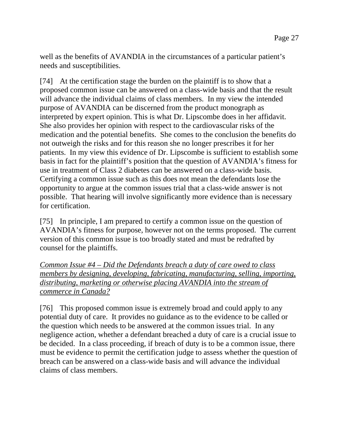well as the benefits of AVANDIA in the circumstances of a particular patient's needs and susceptibilities.

[74] At the certification stage the burden on the plaintiff is to show that a proposed common issue can be answered on a class-wide basis and that the result will advance the individual claims of class members. In my view the intended purpose of AVANDIA can be discerned from the product monograph as interpreted by expert opinion. This is what Dr. Lipscombe does in her affidavit. She also provides her opinion with respect to the cardiovascular risks of the medication and the potential benefits. She comes to the conclusion the benefits do not outweigh the risks and for this reason she no longer prescribes it for her patients. In my view this evidence of Dr. Lipscombe is sufficient to establish some basis in fact for the plaintiff's position that the question of AVANDIA's fitness for use in treatment of Class 2 diabetes can be answered on a class-wide basis. Certifying a common issue such as this does not mean the defendants lose the opportunity to argue at the common issues trial that a class-wide answer is not possible. That hearing will involve significantly more evidence than is necessary for certification.

[75] In principle, I am prepared to certify a common issue on the question of AVANDIA's fitness for purpose, however not on the terms proposed. The current version of this common issue is too broadly stated and must be redrafted by counsel for the plaintiffs.

*Common Issue #4 – Did the Defendants breach a duty of care owed to class members by designing, developing, fabricating, manufacturing, selling, importing, distributing, marketing or otherwise placing AVANDIA into the stream of commerce in Canada?*

[76] This proposed common issue is extremely broad and could apply to any potential duty of care. It provides no guidance as to the evidence to be called or the question which needs to be answered at the common issues trial. In any negligence action, whether a defendant breached a duty of care is a crucial issue to be decided. In a class proceeding, if breach of duty is to be a common issue, there must be evidence to permit the certification judge to assess whether the question of breach can be answered on a class-wide basis and will advance the individual claims of class members.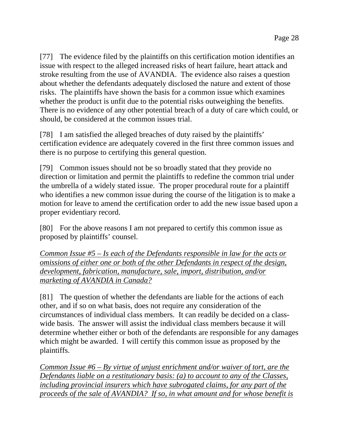[77] The evidence filed by the plaintiffs on this certification motion identifies an issue with respect to the alleged increased risks of heart failure, heart attack and stroke resulting from the use of AVANDIA. The evidence also raises a question about whether the defendants adequately disclosed the nature and extent of those risks. The plaintiffs have shown the basis for a common issue which examines whether the product is unfit due to the potential risks outweighing the benefits. There is no evidence of any other potential breach of a duty of care which could, or should, be considered at the common issues trial.

[78] I am satisfied the alleged breaches of duty raised by the plaintiffs' certification evidence are adequately covered in the first three common issues and there is no purpose to certifying this general question.

[79] Common issues should not be so broadly stated that they provide no direction or limitation and permit the plaintiffs to redefine the common trial under the umbrella of a widely stated issue. The proper procedural route for a plaintiff who identifies a new common issue during the course of the litigation is to make a motion for leave to amend the certification order to add the new issue based upon a proper evidentiary record.

[80] For the above reasons I am not prepared to certify this common issue as proposed by plaintiffs' counsel.

*Common Issue #5 – Is each of the Defendants responsible in law for the acts or omissions of either one or both of the other Defendants in respect of the design, development, fabrication, manufacture, sale, import, distribution, and/or marketing of AVANDIA in Canada?*

[81] The question of whether the defendants are liable for the actions of each other, and if so on what basis, does not require any consideration of the circumstances of individual class members. It can readily be decided on a classwide basis. The answer will assist the individual class members because it will determine whether either or both of the defendants are responsible for any damages which might be awarded. I will certify this common issue as proposed by the plaintiffs.

*Common Issue #6 – By virtue of unjust enrichment and/or waiver of tort, are the Defendants liable on a restitutionary basis: (a) to account to any of the Classes, including provincial insurers which have subrogated claims, for any part of the proceeds of the sale of AVANDIA? If so, in what amount and for whose benefit is*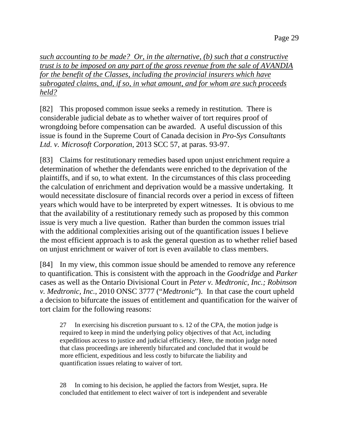*such accounting to be made? Or, in the alternative, (b) such that a constructive trust is to be imposed on any part of the gross revenue from the sale of AVANDIA for the benefit of the Classes, including the provincial insurers which have subrogated claims, and, if so, in what amount, and for whom are such proceeds held?* 

[82] This proposed common issue seeks a remedy in restitution. There is considerable judicial debate as to whether waiver of tort requires proof of wrongdoing before compensation can be awarded. A useful discussion of this issue is found in the Supreme Court of Canada decision in *Pro-Sys Consultants Ltd. v. Microsoft Corporation*, 2013 SCC 57, at paras. 93-97.

[83] Claims for restitutionary remedies based upon unjust enrichment require a determination of whether the defendants were enriched to the deprivation of the plaintiffs, and if so, to what extent. In the circumstances of this class proceeding the calculation of enrichment and deprivation would be a massive undertaking. It would necessitate disclosure of financial records over a period in excess of fifteen years which would have to be interpreted by expert witnesses. It is obvious to me that the availability of a restitutionary remedy such as proposed by this common issue is very much a live question. Rather than burden the common issues trial with the additional complexities arising out of the quantification issues I believe the most efficient approach is to ask the general question as to whether relief based on unjust enrichment or waiver of tort is even available to class members.

[84] In my view, this common issue should be amended to remove any reference to quantification. This is consistent with the approach in the *Goodridge* and *Parker* cases as well as the Ontario Divisional Court in *Peter v. Medtronic, Inc.; Robinson v. Medtronic, Inc.*, 2010 ONSC 3777 ("*Medtronic*"). In that case the court upheld a decision to bifurcate the issues of entitlement and quantification for the waiver of tort claim for the following reasons:

27 In exercising his discretion pursuant to s. 12 of the CPA, the motion judge is required to keep in mind the underlying policy objectives of that Act, including expeditious access to justice and judicial efficiency. Here, the motion judge noted that class proceedings are inherently bifurcated and concluded that it would be more efficient, expeditious and less costly to bifurcate the liability and quantification issues relating to waiver of tort.

28 In coming to his decision, he applied the factors from Westjet, supra. He concluded that entitlement to elect waiver of tort is independent and severable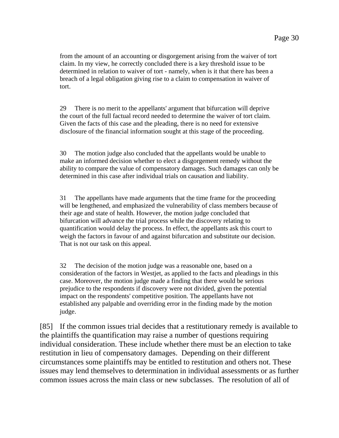from the amount of an accounting or disgorgement arising from the waiver of tort claim. In my view, he correctly concluded there is a key threshold issue to be determined in relation to waiver of tort - namely, when is it that there has been a breach of a legal obligation giving rise to a claim to compensation in waiver of tort.

29 There is no merit to the appellants' argument that bifurcation will deprive the court of the full factual record needed to determine the waiver of tort claim. Given the facts of this case and the pleading, there is no need for extensive disclosure of the financial information sought at this stage of the proceeding.

30 The motion judge also concluded that the appellants would be unable to make an informed decision whether to elect a disgorgement remedy without the ability to compare the value of compensatory damages. Such damages can only be determined in this case after individual trials on causation and liability.

31 The appellants have made arguments that the time frame for the proceeding will be lengthened, and emphasized the vulnerability of class members because of their age and state of health. However, the motion judge concluded that bifurcation will advance the trial process while the discovery relating to quantification would delay the process. In effect, the appellants ask this court to weigh the factors in favour of and against bifurcation and substitute our decision. That is not our task on this appeal.

32 The decision of the motion judge was a reasonable one, based on a consideration of the factors in Westjet, as applied to the facts and pleadings in this case. Moreover, the motion judge made a finding that there would be serious prejudice to the respondents if discovery were not divided, given the potential impact on the respondents' competitive position. The appellants have not established any palpable and overriding error in the finding made by the motion judge.

[85] If the common issues trial decides that a restitutionary remedy is available to the plaintiffs the quantification may raise a number of questions requiring individual consideration. These include whether there must be an election to take restitution in lieu of compensatory damages. Depending on their different circumstances some plaintiffs may be entitled to restitution and others not. These issues may lend themselves to determination in individual assessments or as further common issues across the main class or new subclasses. The resolution of all of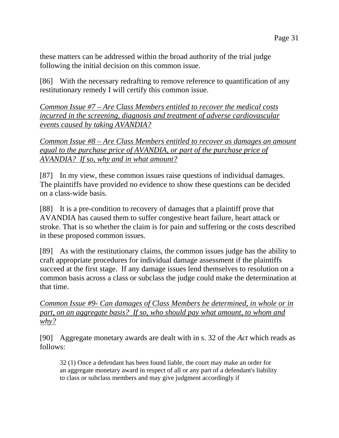these matters can be addressed within the broad authority of the trial judge following the initial decision on this common issue.

[86] With the necessary redrafting to remove reference to quantification of any restitutionary remedy I will certify this common issue.

*Common Issue #7 – Are Class Members entitled to recover the medical costs incurred in the screening, diagnosis and treatment of adverse cardiovascular events caused by taking AVANDIA?* 

*Common Issue #8 – Are Class Members entitled to recover as damages an amount equal to the purchase price of AVANDIA, or part of the purchase price of AVANDIA? If so, why and in what amount?*

[87] In my view, these common issues raise questions of individual damages. The plaintiffs have provided no evidence to show these questions can be decided on a class-wide basis.

[88] It is a pre-condition to recovery of damages that a plaintiff prove that AVANDIA has caused them to suffer congestive heart failure, heart attack or stroke. That is so whether the claim is for pain and suffering or the costs described in these proposed common issues.

[89] As with the restitutionary claims, the common issues judge has the ability to craft appropriate procedures for individual damage assessment if the plaintiffs succeed at the first stage. If any damage issues lend themselves to resolution on a common basis across a class or subclass the judge could make the determination at that time.

*Common Issue #9- Can damages of Class Members be determined, in whole or in part, on an aggregate basis? If so, who should pay what amount, to whom and why?*

[90] Aggregate monetary awards are dealt with in s. 32 of the *Act* which reads as follows:

32 (1) Once a defendant has been found liable, the court may make an order for an aggregate monetary award in respect of all or any part of a defendant's liability to class or subclass members and may give judgment accordingly if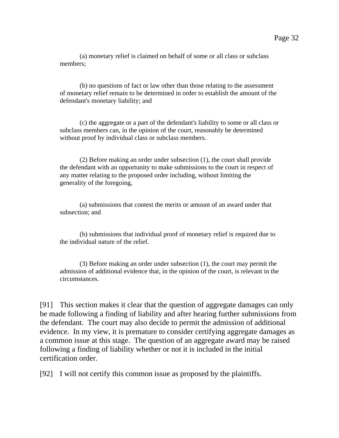(a) monetary relief is claimed on behalf of some or all class or subclass members;

 (b) no questions of fact or law other than those relating to the assessment of monetary relief remain to be determined in order to establish the amount of the defendant's monetary liability; and

 (c) the aggregate or a part of the defendant's liability to some or all class or subclass members can, in the opinion of the court, reasonably be determined without proof by individual class or subclass members.

 (2) Before making an order under subsection (1), the court shall provide the defendant with an opportunity to make submissions to the court in respect of any matter relating to the proposed order including, without limiting the generality of the foregoing,

 (a) submissions that contest the merits or amount of an award under that subsection; and

 (b) submissions that individual proof of monetary relief is required due to the individual nature of the relief.

 (3) Before making an order under subsection (1), the court may permit the admission of additional evidence that, in the opinion of the court, is relevant in the circumstances.

[91] This section makes it clear that the question of aggregate damages can only be made following a finding of liability and after hearing further submissions from the defendant. The court may also decide to permit the admission of additional evidence. In my view, it is premature to consider certifying aggregate damages as a common issue at this stage. The question of an aggregate award may be raised following a finding of liability whether or not it is included in the initial certification order.

[92] I will not certify this common issue as proposed by the plaintiffs.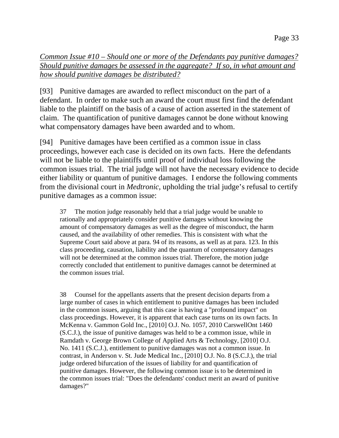*Common Issue #10 – Should one or more of the Defendants pay punitive damages? Should punitive damages be assessed in the aggregate? If so, in what amount and how should punitive damages be distributed?*

[93] Punitive damages are awarded to reflect misconduct on the part of a defendant. In order to make such an award the court must first find the defendant liable to the plaintiff on the basis of a cause of action asserted in the statement of claim. The quantification of punitive damages cannot be done without knowing what compensatory damages have been awarded and to whom.

[94] Punitive damages have been certified as a common issue in class proceedings, however each case is decided on its own facts. Here the defendants will not be liable to the plaintiffs until proof of individual loss following the common issues trial. The trial judge will not have the necessary evidence to decide either liability or quantum of punitive damages. I endorse the following comments from the divisional court in *Medtronic*, upholding the trial judge's refusal to certify punitive damages as a common issue:

37 The motion judge reasonably held that a trial judge would be unable to rationally and appropriately consider punitive damages without knowing the amount of compensatory damages as well as the degree of misconduct, the harm caused, and the availability of other remedies. This is consistent with what the Supreme Court said above at para. 94 of its reasons, as well as at para. 123. In this class proceeding, causation, liability and the quantum of compensatory damages will not be determined at the common issues trial. Therefore, the motion judge correctly concluded that entitlement to punitive damages cannot be determined at the common issues trial.

38 Counsel for the appellants asserts that the present decision departs from a large number of cases in which entitlement to punitive damages has been included in the common issues, arguing that this case is having a "profound impact" on class proceedings. However, it is apparent that each case turns on its own facts. In McKenna v. Gammon Gold Inc., [2010] O.J. No. 1057, 2010 CarswellOnt 1460 (S.C.J.), the issue of punitive damages was held to be a common issue, while in Ramdath v. George Brown College of Applied Arts & Technology, [2010] O.J. No. 1411 (S.C.J.), entitlement to punitive damages was not a common issue. In contrast, in Anderson v. St. Jude Medical Inc., [2010] O.J. No. 8 (S.C.J.), the trial judge ordered bifurcation of the issues of liability for and quantification of punitive damages. However, the following common issue is to be determined in the common issues trial: "Does the defendants' conduct merit an award of punitive damages?"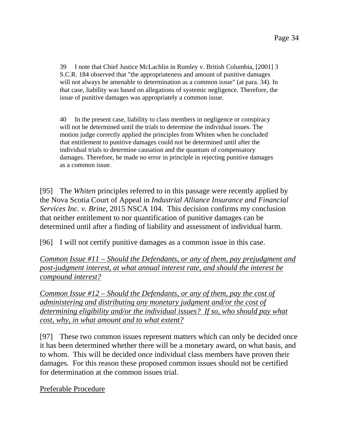39 I note that Chief Justice McLachlin in Rumley v. British Columbia, [2001] 3 S.C.R. 184 observed that "the appropriateness and amount of punitive damages will not always be amenable to determination as a common issue" (at para. 34). In that case, liability was based on allegations of systemic negligence. Therefore, the issue of punitive damages was appropriately a common issue.

40 In the present case, liability to class members in negligence or conspiracy will not be determined until the trials to determine the individual issues. The motion judge correctly applied the principles from Whiten when he concluded that entitlement to punitive damages could not be determined until after the individual trials to determine causation and the quantum of compensatory damages. Therefore, he made no error in principle in rejecting punitive damages as a common issue.

[95] The *Whiten* principles referred to in this passage were recently applied by the Nova Scotia Court of Appeal in *Industrial Alliance Insurance and Financial Services Inc. v. Brine*, 2015 NSCA 104. This decision confirms my conclusion that neither entitlement to nor quantification of punitive damages can be determined until after a finding of liability and assessment of individual harm.

[96] I will not certify punitive damages as a common issue in this case.

*Common Issue #11 – Should the Defendants, or any of them, pay prejudgment and post-judgment interest, at what annual interest rate, and should the interest be compound interest?* 

*Common Issue #12 – Should the Defendants, or any of them, pay the cost of administering and distributing any monetary judgment and/or the cost of determining eligibility and/or the individual issues? If so, who should pay what cost, why, in what amount and to what extent?*

[97] These two common issues represent matters which can only be decided once it has been determined whether there will be a monetary award, on what basis, and to whom. This will be decided once individual class members have proven their damages. For this reason these proposed common issues should not be certified for determination at the common issues trial.

Preferable Procedure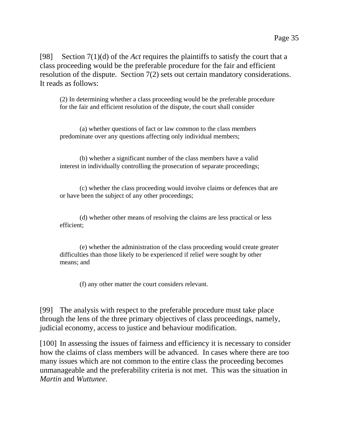[98] Section 7(1)(d) of the *Act* requires the plaintiffs to satisfy the court that a class proceeding would be the preferable procedure for the fair and efficient resolution of the dispute. Section 7(2) sets out certain mandatory considerations. It reads as follows:

(2) In determining whether a class proceeding would be the preferable procedure for the fair and efficient resolution of the dispute, the court shall consider

 (a) whether questions of fact or law common to the class members predominate over any questions affecting only individual members;

 (b) whether a significant number of the class members have a valid interest in individually controlling the prosecution of separate proceedings;

 (c) whether the class proceeding would involve claims or defences that are or have been the subject of any other proceedings;

 (d) whether other means of resolving the claims are less practical or less efficient;

 (e) whether the administration of the class proceeding would create greater difficulties than those likely to be experienced if relief were sought by other means; and

(f) any other matter the court considers relevant.

[99] The analysis with respect to the preferable procedure must take place through the lens of the three primary objectives of class proceedings, namely, judicial economy, access to justice and behaviour modification.

[100] In assessing the issues of fairness and efficiency it is necessary to consider how the claims of class members will be advanced. In cases where there are too many issues which are not common to the entire class the proceeding becomes unmanageable and the preferability criteria is not met. This was the situation in *Martin* and *Wuttunee*.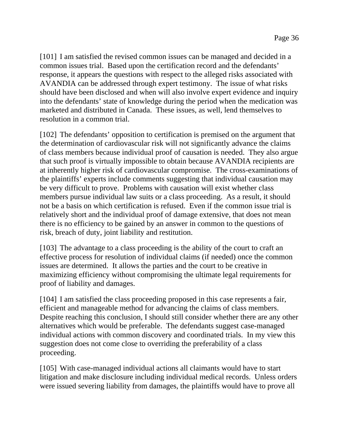[101] I am satisfied the revised common issues can be managed and decided in a common issues trial. Based upon the certification record and the defendants' response, it appears the questions with respect to the alleged risks associated with AVANDIA can be addressed through expert testimony. The issue of what risks should have been disclosed and when will also involve expert evidence and inquiry into the defendants' state of knowledge during the period when the medication was marketed and distributed in Canada. These issues, as well, lend themselves to resolution in a common trial.

[102] The defendants' opposition to certification is premised on the argument that the determination of cardiovascular risk will not significantly advance the claims of class members because individual proof of causation is needed. They also argue that such proof is virtually impossible to obtain because AVANDIA recipients are at inherently higher risk of cardiovascular compromise. The cross-examinations of the plaintiffs' experts include comments suggesting that individual causation may be very difficult to prove. Problems with causation will exist whether class members pursue individual law suits or a class proceeding. As a result, it should not be a basis on which certification is refused. Even if the common issue trial is relatively short and the individual proof of damage extensive, that does not mean there is no efficiency to be gained by an answer in common to the questions of risk, breach of duty, joint liability and restitution.

[103] The advantage to a class proceeding is the ability of the court to craft an effective process for resolution of individual claims (if needed) once the common issues are determined. It allows the parties and the court to be creative in maximizing efficiency without compromising the ultimate legal requirements for proof of liability and damages.

[104] I am satisfied the class proceeding proposed in this case represents a fair, efficient and manageable method for advancing the claims of class members. Despite reaching this conclusion, I should still consider whether there are any other alternatives which would be preferable. The defendants suggest case-managed individual actions with common discovery and coordinated trials. In my view this suggestion does not come close to overriding the preferability of a class proceeding.

[105] With case-managed individual actions all claimants would have to start litigation and make disclosure including individual medical records. Unless orders were issued severing liability from damages, the plaintiffs would have to prove all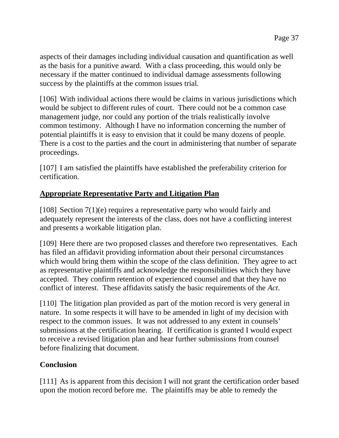aspects of their damages including individual causation and quantification as well as the basis for a punitive award. With a class proceeding, this would only be necessary if the matter continued to individual damage assessments following success by the plaintiffs at the common issues trial.

[106] With individual actions there would be claims in various jurisdictions which would be subject to different rules of court. There could not be a common case management judge, nor could any portion of the trials realistically involve common testimony. Although I have no information concerning the number of potential plaintiffs it is easy to envision that it could be many dozens of people. There is a cost to the parties and the court in administering that number of separate proceedings.

[107] I am satisfied the plaintiffs have established the preferability criterion for certification.

# **Appropriate Representative Party and Litigation Plan**

[108] Section 7(1)(e) requires a representative party who would fairly and adequately represent the interests of the class, does not have a conflicting interest and presents a workable litigation plan.

[109] Here there are two proposed classes and therefore two representatives. Each has filed an affidavit providing information about their personal circumstances which would bring them within the scope of the class definition. They agree to act as representative plaintiffs and acknowledge the responsibilities which they have accepted. They confirm retention of experienced counsel and that they have no conflict of interest. These affidavits satisfy the basic requirements of the *Act*.

[110] The litigation plan provided as part of the motion record is very general in nature. In some respects it will have to be amended in light of my decision with respect to the common issues. It was not addressed to any extent in counsels' submissions at the certification hearing. If certification is granted I would expect to receive a revised litigation plan and hear further submissions from counsel before finalizing that document.

# **Conclusion**

[111] As is apparent from this decision I will not grant the certification order based upon the motion record before me. The plaintiffs may be able to remedy the